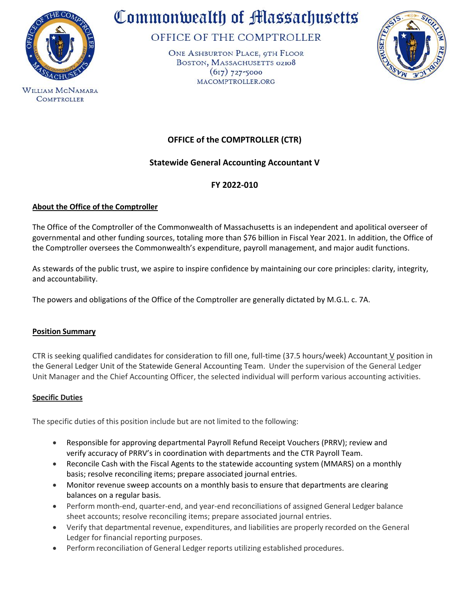

**WILLIAM MCNAMARA COMPTROLLER** 

# Commonwealth of Massachusetts

OFFICE OF THE COMPTROLLER

ONE ASHBURTON PLACE, 9TH FLOOR BOSTON, MASSACHUSETTS 02108  $(617)$  727-5000 MACOMPTROLLER.ORG



# **OFFICE of the COMPTROLLER (CTR)**

# **Statewide General Accounting Accountant V**

# **FY 2022-010**

# **About the Office of the Comptroller**

The Office of the Comptroller of the Commonwealth of Massachusetts is an independent and apolitical overseer of governmental and other funding sources, totaling more than \$76 billion in Fiscal Year 2021. In addition, the Office of the Comptroller oversees the Commonwealth's expenditure, payroll management, and major audit functions.

As stewards of the public trust, we aspire to inspire confidence by maintaining our core principles: clarity, integrity, and accountability.

The powers and obligations of the Office of the Comptroller are generally dictated by M.G.L. c. 7A.

# **Position Summary**

CTR is seeking qualified candidates for consideration to fill one, full-time (37.5 hours/week) Accountant  $\underline{V}$  position in the General Ledger Unit of the Statewide General Accounting Team. Under the supervision of the General Ledger Unit Manager and the Chief Accounting Officer, the selected individual will perform various accounting activities.

# **Specific Duties**

The specific duties of this position include but are not limited to the following:

- Responsible for approving departmental Payroll Refund Receipt Vouchers (PRRV); review and verify accuracy of PRRV's in coordination with departments and the CTR Payroll Team.
- Reconcile Cash with the Fiscal Agents to the statewide accounting system (MMARS) on a monthly basis; resolve reconciling items; prepare associated journal entries.
- Monitor revenue sweep accounts on a monthly basis to ensure that departments are clearing balances on a regular basis.
- Perform month-end, quarter-end, and year-end reconciliations of assigned General Ledger balance sheet accounts; resolve reconciling items; prepare associated journal entries.
- Verify that departmental revenue, expenditures, and liabilities are properly recorded on the General Ledger for financial reporting purposes.
- Perform reconciliation of General Ledger reports utilizing established procedures.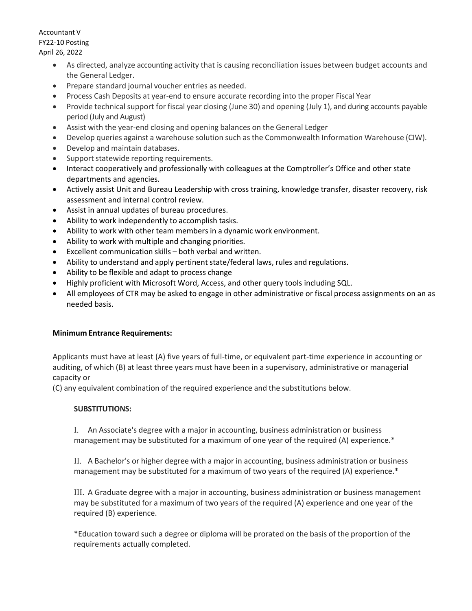Accountant V FY22-10 Posting April 26, 2022

- As directed, analyze accounting activity that is causing reconciliation issues between budget accounts and the General Ledger.
- Prepare standard journal voucher entries as needed.
- Process Cash Deposits at year-end to ensure accurate recording into the proper Fiscal Year
- Provide technical support for fiscal year closing (June 30) and opening (July 1), and during accounts payable period (July and August)
- Assist with the year-end closing and opening balances on the General Ledger
- Develop queries against a warehouse solution such as the Commonwealth Information Warehouse (CIW).
- Develop and maintain databases.
- Support statewide reporting requirements.
- Interact cooperatively and professionally with colleagues at the Comptroller's Office and other state departments and agencies.
- Actively assist Unit and Bureau Leadership with cross training, knowledge transfer, disaster recovery, risk assessment and internal control review.
- Assist in annual updates of bureau procedures.
- Ability to work independently to accomplish tasks.
- Ability to work with other team members in a dynamic work environment.
- Ability to work with multiple and changing priorities.
- Excellent communication skills both verbal and written.
- Ability to understand and apply pertinent state/federal laws, rules and regulations.
- Ability to be flexible and adapt to process change
- Highly proficient with Microsoft Word, Access, and other query tools including SQL.
- All employees of CTR may be asked to engage in other administrative or fiscal process assignments on an as needed basis.

# **Minimum Entrance Requirements:**

Applicants must have at least (A) five years of full-time, or equivalent part-time experience in accounting or auditing, of which (B) at least three years must have been in a supervisory, administrative or managerial capacity or

(C) any equivalent combination of the required experience and the substitutions below.

# **SUBSTITUTIONS:**

I. An Associate's degree with a major in accounting, business administration or business management may be substituted for a maximum of one year of the required (A) experience.\*

II. A Bachelor's or higher degree with a major in accounting, business administration or business management may be substituted for a maximum of two years of the required (A) experience.\*

III. A Graduate degree with a major in accounting, business administration or business management may be substituted for a maximum of two years of the required (A) experience and one year of the required (B) experience.

\*Education toward such a degree or diploma will be prorated on the basis of the proportion of the requirements actually completed.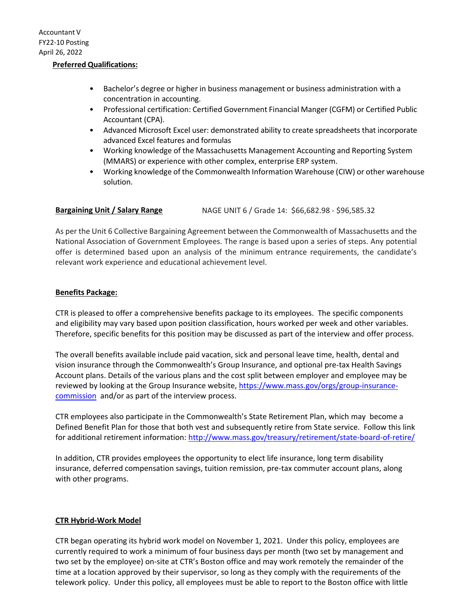#### **Preferred Qualifications:**

- Bachelor's degree or higher in business management or business administration with a concentration in accounting.
- Professional certification: Certified Government Financial Manger (CGFM) or Certified Public Accountant (CPA).
- Advanced Microsoft Excel user: demonstrated ability to create spreadsheets that incorporate advanced Excel features and formulas
- Working knowledge of the Massachusetts Management Accounting and Reporting System (MMARS) or experience with other complex, enterprise ERP system.
- Working knowledge of the Commonwealth Information Warehouse (CIW) or other warehouse solution.

# **Bargaining Unit / Salary Range** NAGE UNIT 6 / Grade 14: \$66,682.98 - \$96,585.32

As per the Unit 6 Collective Bargaining Agreement between the Commonwealth of Massachusetts and the National Association of Government Employees. The range is based upon a series of steps. Any potential offer is determined based upon an analysis of the minimum entrance requirements, the candidate's relevant work experience and educational achievement level.

#### **Benefits Package:**

CTR is pleased to offer a comprehensive benefits package to its employees. The specific components and eligibility may vary based upon position classification, hours worked per week and other variables. Therefore, specific benefits for this position may be discussed as part of the interview and offer process.

The overall benefits available include paid vacation, sick and personal leave time, health, dental and vision insurance through the Commonwealth's Group Insurance, and optional pre-tax Health Savings Account plans. Details of the various plans and the cost split between employer and employee may be reviewed by looking at the Group Insurance website, [https://www.mass.gov/orgs/group-insurance](https://www.mass.gov/orgs/group-insurance-commission)[commission](https://www.mass.gov/orgs/group-insurance-commission) and/or as part of the interview process.

CTR employees also participate in the Commonwealth's State Retirement Plan, which may become a Defined Benefit Plan for those that both vest and subsequently retire from State service. Follow this link for additional retirement information: <http://www.mass.gov/treasury/retirement/state-board-of-retire/>

In addition, CTR provides employees the opportunity to elect life insurance, long term disability insurance, deferred compensation savings, tuition remission, pre-tax commuter account plans, along with other programs.

# **CTR Hybrid-Work Model**

CTR began operating its hybrid work model on November 1, 2021. Under this policy, employees are currently required to work a minimum of four business days per month (two set by management and two set by the employee) on-site at CTR's Boston office and may work remotely the remainder of the time at a location approved by their supervisor, so long as they comply with the requirements of the telework policy. Under this policy, all employees must be able to report to the Boston office with little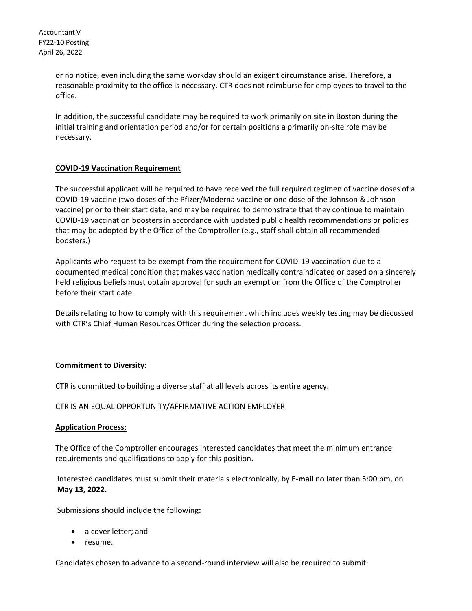Accountant V FY22-10 Posting April 26, 2022

> or no notice, even including the same workday should an exigent circumstance arise. Therefore, a reasonable proximity to the office is necessary. CTR does not reimburse for employees to travel to the office.

In addition, the successful candidate may be required to work primarily on site in Boston during the initial training and orientation period and/or for certain positions a primarily on-site role may be necessary.

# **COVID-19 Vaccination Requirement**

The successful applicant will be required to have received the full required regimen of vaccine doses of a COVID-19 vaccine (two doses of the Pfizer/Moderna vaccine or one dose of the Johnson & Johnson vaccine) prior to their start date, and may be required to demonstrate that they continue to maintain COVID-19 vaccination boosters in accordance with updated public health recommendations or policies that may be adopted by the Office of the Comptroller (e.g., staff shall obtain all recommended boosters.)

Applicants who request to be exempt from the requirement for COVID-19 vaccination due to a documented medical condition that makes vaccination medically contraindicated or based on a sincerely held religious beliefs must obtain approval for such an exemption from the Office of the Comptroller before their start date.

Details relating to how to comply with this requirement which includes weekly testing may be discussed with CTR's Chief Human Resources Officer during the selection process.

# **Commitment to Diversity:**

CTR is committed to building a diverse staff at all levels across its entire agency.

# CTR IS AN EQUAL OPPORTUNITY/AFFIRMATIVE ACTION EMPLOYER

# **Application Process:**

The Office of the Comptroller encourages interested candidates that meet the minimum entrance requirements and qualifications to apply for this position.

Interested candidates must submit their materials electronically, by **E-mail** no later than 5:00 pm, on **May 13, 2022.** 

Submissions should include the following**:**

- a cover letter; and
- resume.

Candidates chosen to advance to a second-round interview will also be required to submit: